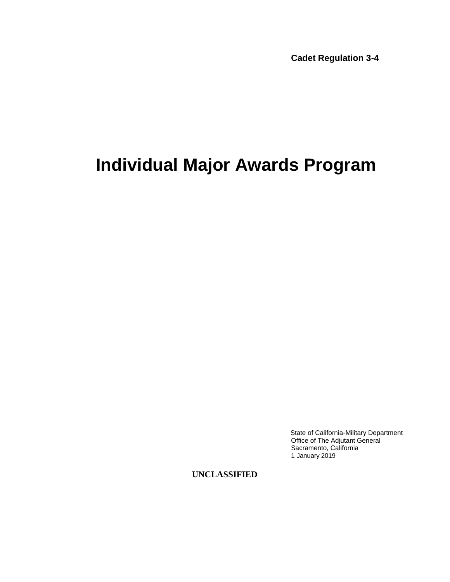**Cadet Regulation 3-4**

## **Individual Major Awards Program**

State of California-Military Department Office of The Adjutant General Sacramento, California 1 January 2019

**UNCLASSIFIED**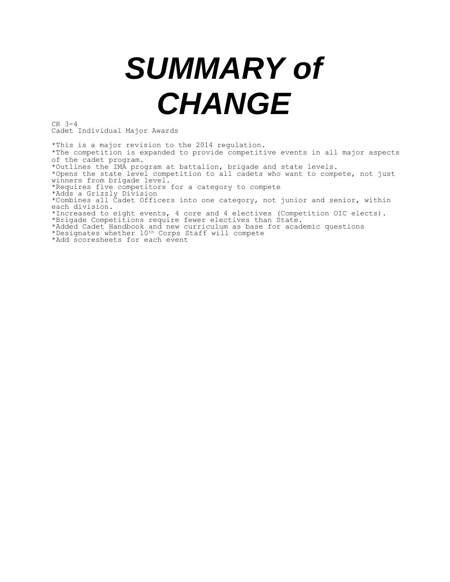# *SUMMARY of CHANGE*

CR 3-4 Cadet Individual Major Awards

\*This is a major revision to the 2014 regulation. \*The competition is expanded to provide competitive events in all major aspects of the cadet program. \*Outlines the IMA program at battalion, brigade and state levels. \*Opens the state level competition to all cadets who want to compete, not just winners from brigade level. \*Requires five competitors for a category to compete \*Adds a Grizzly Division \*Combines all Cadet Officers into one category, not junior and senior, within each division. \*Increased to eight events, 4 core and 4 electives (Competition OIC elects). \*Brigade Competitions require fewer electives than State. \*Added Cadet Handbook and new curriculum as base for academic questions \*Designates whether 10th Corps Staff will compete \*Add scoresheets for each event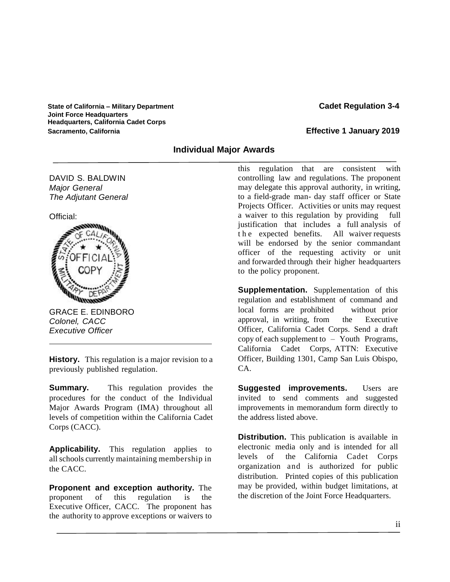**State of California – Military Department Cadet Regulation 3-4 Joint Force Headquarters Headquarters, California Cadet Corps Sacramento, California Effective 1 January 2019**

#### **Individual Major Awards**

DAVID S. BALDWIN *Major General The Adjutant General*





GRACE E. EDINBORO *Colonel, CACC Executive Officer*

**History.** This regulation is a major revision to a previously published regulation.

**Summary.** This regulation provides the procedures for the conduct of the Individual Major Awards Program (IMA) throughout all levels of competition within the California Cadet Corps (CACC).

**Applicability.** This regulation applies to all schools currently maintaining membership in the CACC.

**Proponent and exception authority.** The proponent of this regulation is the Executive Officer, CACC. The proponent has the authority to approve exceptions or waivers to

this regulation that are consistent with controlling law and regulations. The proponent may delegate this approval authority, in writing, to a field-grade man- day staff officer or State Projects Officer. Activities or units may request a waiver to this regulation by providing full justification that includes a full analysis of t h e expected benefits. All waiver requests will be endorsed by the senior commandant officer of the requesting activity or unit and forwarded through their higher headquarters to the policy proponent.

**Supplementation.** Supplementation of this regulation and establishment of command and local forms are prohibited without prior approval, in writing, from the Executive Officer, California Cadet Corps. Send a draft copy of each supplement to – Youth Programs, California Cadet Corps, ATTN: Executive Officer, Building 1301, Camp San Luis Obispo, CA.

**Suggested improvements.** Users are invited to send comments and suggested improvements in memorandum form directly to the address listed above.

**Distribution.** This publication is available in electronic media only and is intended for all levels of the California Cadet Corps organization and is authorized for public distribution. Printed copies of this publication may be provided, within budget limitations, at the discretion of the Joint Force Headquarters.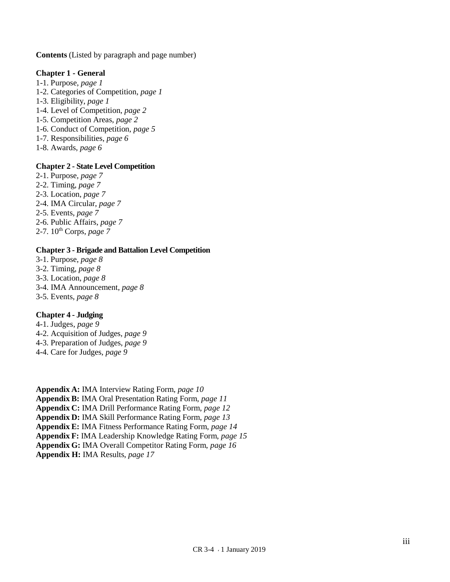**Contents** (Listed by paragraph and page number)

#### **Chapter 1 - General**

- 1-1. Purpose, *page 1*
- 1-2. Categories of Competition, *page 1*
- 1-3. Eligibility, *page 1*
- 1-4. Level of Competition, *page 2*
- 1-5. Competition Areas, *page 2*
- 1-6. Conduct of Competition, *page 5*
- 1-7. Responsibilities, *page 6*
- 1-8. Awards, *page 6*

#### **Chapter 2 - State Level Competition**

- 2-1. Purpose, *page 7*
- 2-2. Timing, *page 7*
- 2-3. Location, *page 7*
- 2-4. IMA Circular, *page 7*
- 2-5. Events, *page 7*
- 2-6. Public Affairs, *page 7*
- 2-7. 10th Corps, *page 7*

#### **Chapter 3 - Brigade and Battalion Level Competition**

- 3-1. Purpose, *page 8* 3-2. Timing, *page 8* 3-3. Location, *page 8*
- 3-4. IMA Announcement, *page 8*
- 3-5. Events, *page 8*

#### **Chapter 4 - Judging**

- 4-1. Judges, *page 9*
- 4-2. Acquisition of Judges, *page 9*
- 4-3. Preparation of Judges, *page 9*
- 4-4. Care for Judges, *page 9*

**Appendix A:** IMA Interview Rating Form, *page 10* **Appendix B:** IMA Oral Presentation Rating Form, *page 11* **Appendix C:** IMA Drill Performance Rating Form, *page 12* **Appendix D:** IMA Skill Performance Rating Form, *page 13* **Appendix E:** IMA Fitness Performance Rating Form, *page 14* **Appendix F:** IMA Leadership Knowledge Rating Form, *page 15* **Appendix G:** IMA Overall Competitor Rating Form, *page 16* **Appendix H:** IMA Results, *page 17*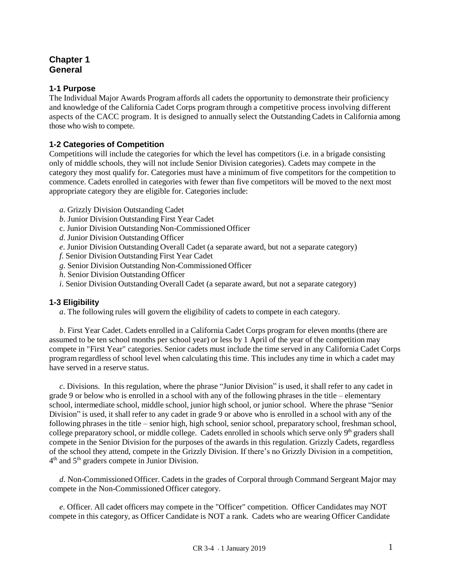#### **Chapter 1 General**

#### **1-1 Purpose**

The Individual Major Awards Program affords all cadets the opportunity to demonstrate their proficiency and knowledge of the California Cadet Corps program through a competitive process involving different aspects of the CACC program. It is designed to annually select the Outstanding Cadets in California among those who wish to compete.

#### **1-2 Categories of Competition**

Competitions will include the categories for which the level has competitors (i.e. in a brigade consisting only of middle schools, they will not include Senior Division categories). Cadets may compete in the category they most qualify for. Categories must have a minimum of five competitors for the competition to commence. Cadets enrolled in categories with fewer than five competitors will be moved to the next most appropriate category they are eligible for. Categories include:

- *a*. Grizzly Division Outstanding Cadet
- *b*. Junior Division Outstanding First Year Cadet
- c. Junior Division Outstanding Non-Commissioned Officer
- *d*. Junior Division Outstanding Officer
- *e*. Junior Division Outstanding Overall Cadet (a separate award, but not a separate category)
- *f*. Senior Division Outstanding First Year Cadet
- *g*. Senior Division Outstanding Non-Commissioned Officer
- *h*. Senior Division Outstanding Officer
- *i*. Senior Division Outstanding Overall Cadet (a separate award, but not a separate category)

#### **1-3 Eligibility**

 *a*. The following rules will govern the eligibility of cadets to compete in each category.

 *b*. First Year Cadet. Cadets enrolled in a California Cadet Corps program for eleven months (there are assumed to be ten school months per school year) or less by 1 April of the year of the competition may compete in "First Year" categories. Senior cadets must include the time served in any California Cadet Corps program regardless of school level when calculating this time. This includes any time in which a cadet may have served in a reserve status.

 *c*. Divisions. In this regulation, where the phrase "Junior Division" is used, it shall refer to any cadet in grade 9 or below who is enrolled in a school with any of the following phrases in the title – elementary school, intermediate school, middle school, junior high school, or junior school. Where the phrase "Senior Division" is used, it shall refer to any cadet in grade 9 or above who is enrolled in a school with any of the following phrases in the title – senior high, high school, senior school, preparatory school, freshman school, college preparatory school, or middle college. Cadets enrolled in schools which serve only 9<sup>th</sup> graders shall compete in the Senior Division for the purposes of the awards in this regulation. Grizzly Cadets, regardless of the school they attend, compete in the Grizzly Division. If there's no Grizzly Division in a competition, 4<sup>th</sup> and 5<sup>th</sup> graders compete in Junior Division.

 *d*. Non-Commissioned Officer. Cadets in the grades of Corporal through Command Sergeant Major may compete in the Non-Commissioned Officer category.

 *e*. Officer. All cadet officers may compete in the "Officer" competition. Officer Candidates may NOT compete in this category, as Officer Candidate is NOT a rank. Cadets who are wearing Officer Candidate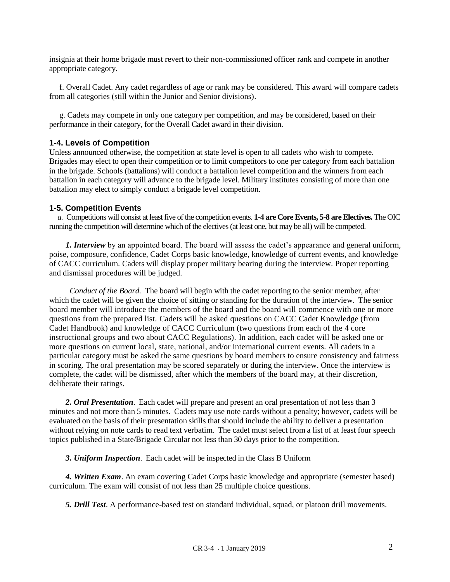insignia at their home brigade must revert to their non-commissioned officer rank and compete in another appropriate category.

 f. Overall Cadet. Any cadet regardless of age or rank may be considered. This award will compare cadets from all categories (still within the Junior and Senior divisions).

 g. Cadets may compete in only one category per competition, and may be considered, based on their performance in their category, for the Overall Cadet award in their division.

#### **1-4. Levels of Competition**

Unless announced otherwise, the competition at state level is open to all cadets who wish to compete. Brigades may elect to open their competition or to limit competitors to one per category from each battalion in the brigade. Schools (battalions) will conduct a battalion level competition and the winners from each battalion in each category will advance to the brigade level. Military institutes consisting of more than one battalion may elect to simply conduct a brigade level competition.

#### **1-5. Competition Events**

 *a.* Competitions will consist at least five of the competition events. **1-4 are Core Events, 5-8 are Electives.** The OIC running the competition will determine which of the electives (at least one, but may be all) will be competed.

 *1. Interview* by an appointed board. The board will assess the cadet's appearance and general uniform, poise, composure, confidence, Cadet Corps basic knowledge, knowledge of current events, and knowledge of CACC curriculum. Cadets will display proper military bearing during the interview. Proper reporting and dismissal procedures will be judged.

 *Conduct of the Board.* The board will begin with the cadet reporting to the senior member, after which the cadet will be given the choice of sitting or standing for the duration of the interview. The senior board member will introduce the members of the board and the board will commence with one or more questions from the prepared list. Cadets will be asked questions on CACC Cadet Knowledge (from Cadet Handbook) and knowledge of CACC Curriculum (two questions from each of the 4 core instructional groups and two about CACC Regulations). In addition, each cadet will be asked one or more questions on current local, state, national, and/or international current events. All cadets in a particular category must be asked the same questions by board members to ensure consistency and fairness in scoring. The oral presentation may be scored separately or during the interview. Once the interview is complete, the cadet will be dismissed, after which the members of the board may, at their discretion, deliberate their ratings.

 *2. Oral Presentation*. Each cadet will prepare and present an oral presentation of not less than 3 minutes and not more than 5 minutes. Cadets may use note cards without a penalty; however, cadets will be evaluated on the basis of their presentation skills that should include the ability to deliver a presentation without relying on note cards to read text verbatim. The cadet must select from a list of at least four speech topics published in a State/Brigade Circular not less than 30 days prior to the competition.

 *3. Uniform Inspection*. Each cadet will be inspected in the Class B Uniform

 *4. Written Exam*. An exam covering Cadet Corps basic knowledge and appropriate (semester based) curriculum. The exam will consist of not less than 25 multiple choice questions.

 *5. Drill Test*. A performance-based test on standard individual, squad, or platoon drill movements.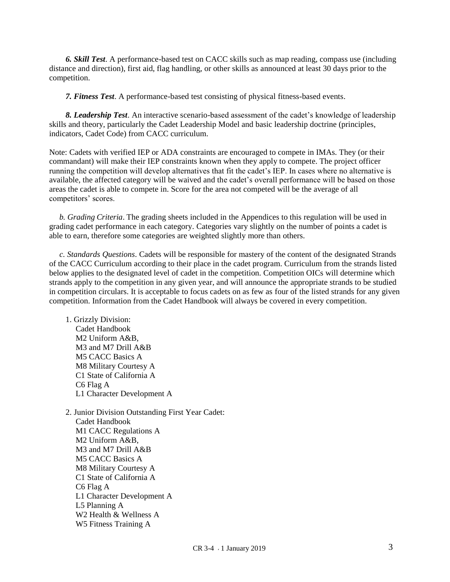*6. Skill Test*. A performance-based test on CACC skills such as map reading, compass use (including distance and direction), first aid, flag handling, or other skills as announced at least 30 days prior to the competition.

 *7. Fitness Test*. A performance-based test consisting of physical fitness-based events.

 *8. Leadership Test*. An interactive scenario-based assessment of the cadet's knowledge of leadership skills and theory, particularly the Cadet Leadership Model and basic leadership doctrine (principles, indicators, Cadet Code) from CACC curriculum.

Note: Cadets with verified IEP or ADA constraints are encouraged to compete in IMAs. They (or their commandant) will make their IEP constraints known when they apply to compete. The project officer running the competition will develop alternatives that fit the cadet's IEP. In cases where no alternative is available, the affected category will be waived and the cadet's overall performance will be based on those areas the cadet is able to compete in. Score for the area not competed will be the average of all competitors' scores.

 *b. Grading Criteria*. The grading sheets included in the Appendices to this regulation will be used in grading cadet performance in each category. Categories vary slightly on the number of points a cadet is able to earn, therefore some categories are weighted slightly more than others.

 *c. Standards Questions*. Cadets will be responsible for mastery of the content of the designated Strands of the CACC Curriculum according to their place in the cadet program. Curriculum from the strands listed below applies to the designated level of cadet in the competition. Competition OICs will determine which strands apply to the competition in any given year, and will announce the appropriate strands to be studied in competition circulars. It is acceptable to focus cadets on as few as four of the listed strands for any given competition. Information from the Cadet Handbook will always be covered in every competition.

 1. Grizzly Division: Cadet Handbook M<sub>2</sub> Uniform  $A\&B$ M3 and M7 Drill A&B M5 CACC Basics A M8 Military Courtesy A C1 State of California A C6 Flag A L1 Character Development A

 2. Junior Division Outstanding First Year Cadet: Cadet Handbook M1 CACC Regulations A M2 Uniform A&B, M3 and M7 Drill A&B M5 CACC Basics A M8 Military Courtesy A C1 State of California A C6 Flag A L1 Character Development A L5 Planning A W2 Health & Wellness A W5 Fitness Training A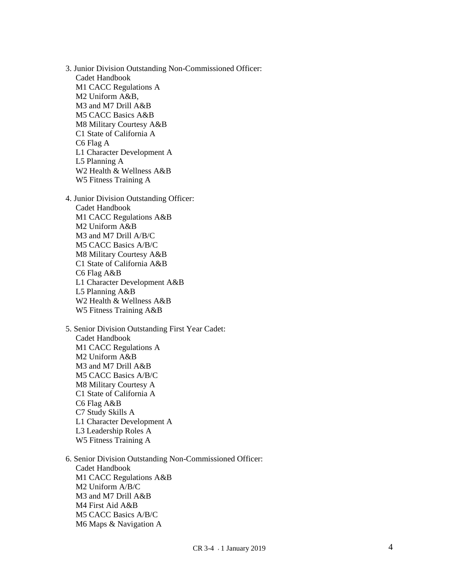3 . Juni or Division Outstanding Non -Commissioned O ffic e r : Cadet Handbook M1 CACC Regulations A M2 Uniform A&B, M3 and M7 Drill A&B M5 CACC Basics A&B M8 Military Courtesy A&B C1 State of California A C6 Flag A L1 Character Development A L5 Planning A W2 Health & Wellness A&B W5 Fitness Training A 4 . Juni or Division Outstanding O fficer : Cadet Handbook M1 CACC Regulations A&B M2 Uniform A&B M3 and M7 Drill A/B/C M5 CACC Basics A/B/C M8 Military Courtesy A&B C1 State of California A&B C6 Flag A&B L1 Character Development A&B L5 Planning A&B W2 Health & Wellness A&B

 5. Seni or Divi s i on Outstanding First Ye ar Ca det : Cadet Handbook M1 CACC Regulations A M2 Uniform A&B M3 and M7 Drill A&B M5 CACC Basics A/B/C M8 Military Courtesy A C1 State of California A C6 Flag A&B C7 Study Skills A L1 Character Development A L3 Leadership Roles A W5 Fitness Training A

W5 Fitness Training A&B

 6. Seni or Divi s i on Outstanding Non -Commissioned O ffic e r : Cadet Handbook M1 CACC Regulations A&B M2 Uniform A/B/C M3 and M7 Drill A&B M4 First Aid A&B M5 CACC Basics A/B/C M6 Maps & Navigation A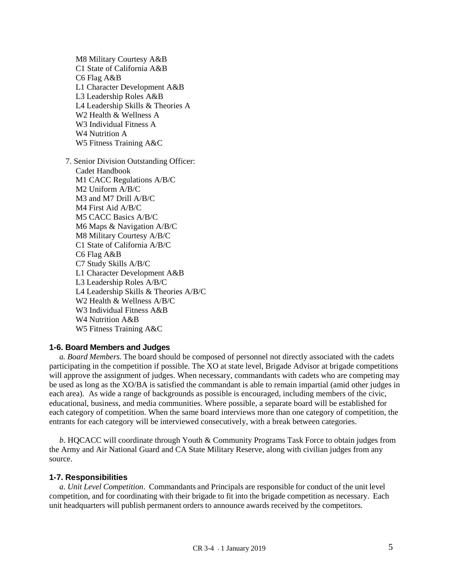M8 Military Courtesy A&B C1 State of California A&B C6 Flag A&B L1 Character Development A&B L3 Leadership Roles A&B L4 Leadership Skills & Theories A W2 Health & Wellness A W3 Individual Fitness A W4 Nutrition A W5 Fitness Training A&C

 7. Senior Division Outstanding Officer: Cadet Handbook M1 CACC Regulations A/B/C M2 Uniform A/B/C M3 and M7 Drill A/B/C M4 First Aid A/B/C M5 CACC Basics A/B/C M6 Maps & Navigation A/B/C M8 Military Courtesy A/B/C C1 State of California A/B/C C6 Flag A&B C7 Study Skills A/B/C L1 Character Development A&B L3 Leadership Roles A/B/C L4 Leadership Skills & Theories A/B/C W2 Health & Wellness A/B/C W3 Individual Fitness A&B W4 Nutrition A&B W5 Fitness Training A&C

#### **1-6. Board Members and Judges**

 *a. Board Members.* The board should be composed of personnel not directly associated with the cadets participating in the competition if possible. The XO at state level, Brigade Advisor at brigade competitions will approve the assignment of judges. When necessary, commandants with cadets who are competing may be used as long as the XO/BA is satisfied the commandant is able to remain impartial (amid other judges in each area). As wide a range of backgrounds as possible is encouraged, including members of the civic, educational, business, and media communities. Where possible, a separate board will be established for each category of competition. When the same board interviews more than one category of competition, the entrants for each category will be interviewed consecutively, with a break between categories.

 *b*. HQCACC will coordinate through Youth & Community Programs Task Force to obtain judges from the Army and Air National Guard and CA State Military Reserve, along with civilian judges from any source.

#### **1-7. Responsibilities**

 *a*. *Unit Level Competition*. Commandants and Principals are responsible for conduct of the unit level competition, and for coordinating with their brigade to fit into the brigade competition as necessary. Each unit headquarters will publish permanent orders to announce awards received by the competitors.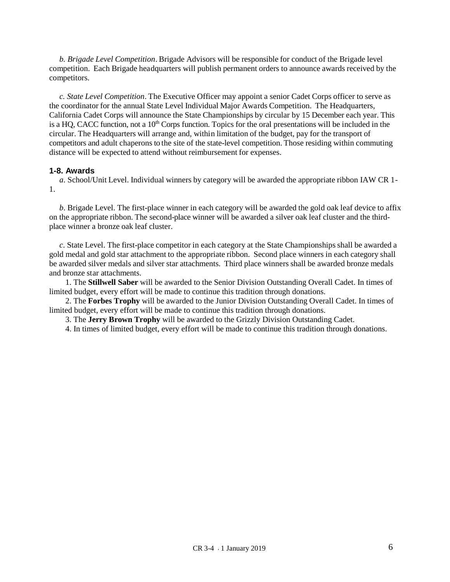*b. Brigade Level Competition*. Brigade Advisors will be responsible for conduct of the Brigade level competition. Each Brigade headquarters will publish permanent orders to announce awards received by the competitors.

 *c. State Level Competition*. The Executive Officer may appoint a senior Cadet Corps officer to serve as the coordinator for the annual State Level Individual Major Awards Competition. The Headquarters, California Cadet Corps will announce the State Championships by circular by 15 December each year. This is a HQ, CACC function, not a  $10<sup>th</sup>$  Corps function. Topics for the oral presentations will be included in the circular. The Headquarters will arrange and, within limitation of the budget, pay for the transport of competitors and adult chaperons to the site of the state-level competition. Those residing within commuting distance will be expected to attend without reimbursement for expenses.

#### **1-8. Awards**

 *a*. School/Unit Level. Individual winners by category will be awarded the appropriate ribbon IAW CR 1- 1.

 *b*. Brigade Level. The first-place winner in each category will be awarded the gold oak leaf device to affix on the appropriate ribbon. The second-place winner will be awarded a silver oak leaf cluster and the thirdplace winner a bronze oak leaf cluster.

 *c*. State Level. The first-place competitor in each category at the State Championships shall be awarded a gold medal and gold star attachment to the appropriate ribbon. Second place winners in each category shall be awarded silver medals and silver star attachments. Third place winners shall be awarded bronze medals and bronze star attachments.

 1. The **Stillwell Saber** will be awarded to the Senior Division Outstanding Overall Cadet. In times of limited budget, every effort will be made to continue this tradition through donations.

 2. The **Forbes Trophy** will be awarded to the Junior Division Outstanding Overall Cadet. In times of limited budget, every effort will be made to continue this tradition through donations.

3. The **Jerry Brown Trophy** will be awarded to the Grizzly Division Outstanding Cadet.

4. In times of limited budget, every effort will be made to continue this tradition through donations.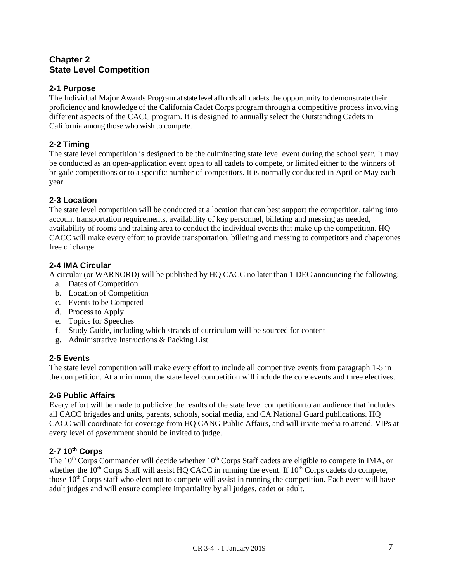#### **Chapter 2 State Level Competition**

#### **2-1 Purpose**

The Individual Major Awards Program at state level affords all cadets the opportunity to demonstrate their proficiency and knowledge of the California Cadet Corps program through a competitive process involving different aspects of the CACC program. It is designed to annually select the Outstanding Cadets in California among those who wish to compete.

#### **2-2 Timing**

The state level competition is designed to be the culminating state level event during the school year. It may be conducted as an open-application event open to all cadets to compete, or limited either to the winners of brigade competitions or to a specific number of competitors. It is normally conducted in April or May each year.

#### **2-3 Location**

The state level competition will be conducted at a location that can best support the competition, taking into account transportation requirements, availability of key personnel, billeting and messing as needed, availability of rooms and training area to conduct the individual events that make up the competition. HQ CACC will make every effort to provide transportation, billeting and messing to competitors and chaperones free of charge.

#### **2-4 IMA Circular**

A circular (or WARNORD) will be published by HQ CACC no later than 1 DEC announcing the following:

- a. Dates of Competition
- b. Location of Competition
- c. Events to be Competed
- d. Process to Apply
- e. Topics for Speeches
- f. Study Guide, including which strands of curriculum will be sourced for content
- g. Administrative Instructions & Packing List

#### **2-5 Events**

The state level competition will make every effort to include all competitive events from paragraph 1-5 in the competition. At a minimum, the state level competition will include the core events and three electives.

#### **2-6 Public Affairs**

Every effort will be made to publicize the results of the state level competition to an audience that includes all CACC brigades and units, parents, schools, social media, and CA National Guard publications. HQ CACC will coordinate for coverage from HQ CANG Public Affairs, and will invite media to attend. VIPs at every level of government should be invited to judge.

#### **2-7 10th Corps**

The 10<sup>th</sup> Corps Commander will decide whether 10<sup>th</sup> Corps Staff cadets are eligible to compete in IMA, or whether the  $10<sup>th</sup>$  Corps Staff will assist HQ CACC in running the event. If  $10<sup>th</sup>$  Corps cadets do compete, those  $10<sup>th</sup>$  Corps staff who elect not to compete will assist in running the competition. Each event will have adult judges and will ensure complete impartiality by all judges, cadet or adult.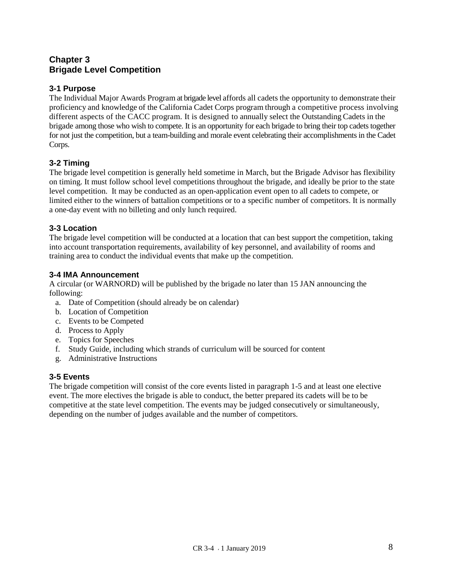#### **Chapter 3 Brigade Level Competition**

#### **3-1 Purpose**

The Individual Major Awards Program at brigade level affords all cadets the opportunity to demonstrate their proficiency and knowledge of the California Cadet Corps program through a competitive process involving different aspects of the CACC program. It is designed to annually select the Outstanding Cadets in the brigade among those who wish to compete. It is an opportunity for each brigade to bring their top cadets together for not just the competition, but a team-building and morale event celebrating their accomplishments in the Cadet Corps.

#### **3-2 Timing**

The brigade level competition is generally held sometime in March, but the Brigade Advisor has flexibility on timing. It must follow school level competitions throughout the brigade, and ideally be prior to the state level competition. It may be conducted as an open-application event open to all cadets to compete, or limited either to the winners of battalion competitions or to a specific number of competitors. It is normally a one-day event with no billeting and only lunch required.

#### **3-3 Location**

The brigade level competition will be conducted at a location that can best support the competition, taking into account transportation requirements, availability of key personnel, and availability of rooms and training area to conduct the individual events that make up the competition.

#### **3-4 IMA Announcement**

A circular (or WARNORD) will be published by the brigade no later than 15 JAN announcing the following:

- a. Date of Competition (should already be on calendar)
- b. Location of Competition
- c. Events to be Competed
- d. Process to Apply
- e. Topics for Speeches
- f. Study Guide, including which strands of curriculum will be sourced for content
- g. Administrative Instructions

#### **3-5 Events**

The brigade competition will consist of the core events listed in paragraph 1-5 and at least one elective event. The more electives the brigade is able to conduct, the better prepared its cadets will be to be competitive at the state level competition. The events may be judged consecutively or simultaneously, depending on the number of judges available and the number of competitors.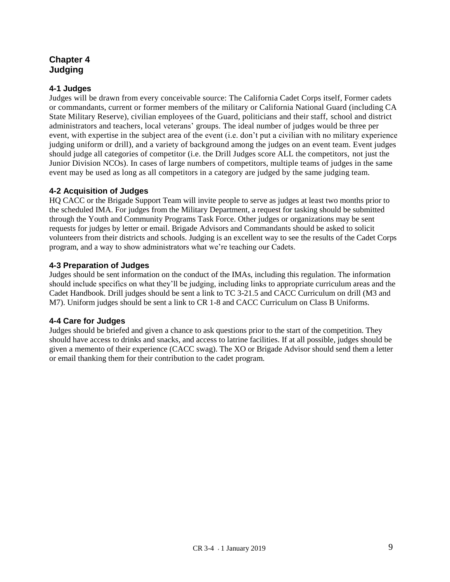#### **Chapter 4 Judging**

#### **4-1 Judges**

Judges will be drawn from every conceivable source: The California Cadet Corps itself, Former cadets or commandants, current or former members of the military or California National Guard (including CA State Military Reserve), civilian employees of the Guard, politicians and their staff, school and district administrators and teachers, local veterans' groups. The ideal number of judges would be three per event, with expertise in the subject area of the event (i.e. don't put a civilian with no military experience judging uniform or drill), and a variety of background among the judges on an event team. Event judges should judge all categories of competitor (i.e. the Drill Judges score ALL the competitors, not just the Junior Division NCOs). In cases of large numbers of competitors, multiple teams of judges in the same event may be used as long as all competitors in a category are judged by the same judging team.

#### **4-2 Acquisition of Judges**

HQ CACC or the Brigade Support Team will invite people to serve as judges at least two months prior to the scheduled IMA. For judges from the Military Department, a request for tasking should be submitted through the Youth and Community Programs Task Force. Other judges or organizations may be sent requests for judges by letter or email. Brigade Advisors and Commandants should be asked to solicit volunteers from their districts and schools. Judging is an excellent way to see the results of the Cadet Corps program, and a way to show administrators what we're teaching our Cadets.

#### **4-3 Preparation of Judges**

Judges should be sent information on the conduct of the IMAs, including this regulation. The information should include specifics on what they'll be judging, including links to appropriate curriculum areas and the Cadet Handbook. Drill judges should be sent a link to TC 3-21.5 and CACC Curriculum on drill (M3 and M7). Uniform judges should be sent a link to CR 1-8 and CACC Curriculum on Class B Uniforms.

#### **4-4 Care for Judges**

Judges should be briefed and given a chance to ask questions prior to the start of the competition. They should have access to drinks and snacks, and access to latrine facilities. If at all possible, judges should be given a memento of their experience (CACC swag). The XO or Brigade Advisor should send them a letter or email thanking them for their contribution to the cadet program.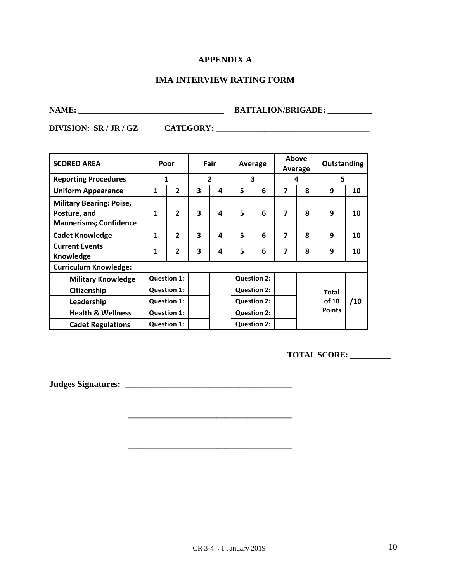#### **APPENDIX A**

#### **IMA INTERVIEW RATING FORM**

## **NAME: \_\_\_\_\_\_\_\_\_\_\_\_\_\_\_\_\_\_\_\_\_\_\_\_\_\_\_\_\_\_\_\_\_\_\_\_ BATTALION/BRIGADE: \_\_\_\_\_\_\_\_\_\_\_**

**DIVISION: SR / JR / GZ CATEGORY: \_\_\_\_\_\_\_\_\_\_\_\_\_\_\_\_\_\_\_\_\_\_\_\_\_\_\_\_\_\_\_\_\_\_\_\_\_\_**

| <b>SCORED AREA</b>                                                               | Poor               |                    | Fair                    |                | Average            |                    |   | Above<br>Average | Outstanding   |     |
|----------------------------------------------------------------------------------|--------------------|--------------------|-------------------------|----------------|--------------------|--------------------|---|------------------|---------------|-----|
| <b>Reporting Procedures</b>                                                      |                    | 1                  |                         | $\overline{2}$ | 3                  |                    |   | 4                | 5             |     |
| <b>Uniform Appearance</b>                                                        | $\mathbf{1}$       | $\overline{2}$     | 3                       | 4              | 5                  | 6                  | 7 | 8                | 9             | 10  |
| <b>Military Bearing: Poise,</b><br>Posture, and<br><b>Mannerisms; Confidence</b> | $\mathbf{1}$       | $\overline{2}$     | $\overline{\mathbf{3}}$ | 4              | 5                  | 6                  | 7 | 8                | 9             | 10  |
| <b>Cadet Knowledge</b>                                                           | $\mathbf{1}$       | $\overline{2}$     | 3                       | 4              | 5                  | 6                  | 7 | 8                | 9             | 10  |
| <b>Current Events</b><br>Knowledge                                               | $\mathbf{1}$       | $\overline{2}$     | 3                       | 4              | 5                  | 6                  | 7 | 8                | 9             | 10  |
| <b>Curriculum Knowledge:</b>                                                     |                    |                    |                         |                |                    |                    |   |                  |               |     |
| <b>Military Knowledge</b>                                                        |                    | <b>Question 1:</b> |                         |                |                    | <b>Question 2:</b> |   |                  |               |     |
| Citizenship                                                                      |                    | <b>Question 1:</b> |                         |                |                    | <b>Question 2:</b> |   |                  | <b>Total</b>  |     |
| Leadership                                                                       | <b>Question 1:</b> |                    |                         |                |                    | <b>Question 2:</b> |   |                  | of 10         | /10 |
| <b>Health &amp; Wellness</b>                                                     | <b>Question 1:</b> |                    |                         |                | <b>Question 2:</b> |                    |   |                  | <b>Points</b> |     |
| <b>Cadet Regulations</b>                                                         |                    | <b>Question 1:</b> |                         |                | <b>Question 2:</b> |                    |   |                  |               |     |

**\_\_\_\_\_\_\_\_\_\_\_\_\_\_\_\_\_\_\_\_\_\_\_\_\_\_\_\_\_\_\_\_\_\_\_\_\_**

**TOTAL SCORE: \_\_\_\_\_\_\_\_\_\_** 

**Judges Signatures: \_\_\_\_\_\_\_\_\_\_\_\_\_\_\_\_\_\_\_\_\_\_\_\_\_\_\_\_\_\_\_\_\_\_\_\_\_\_**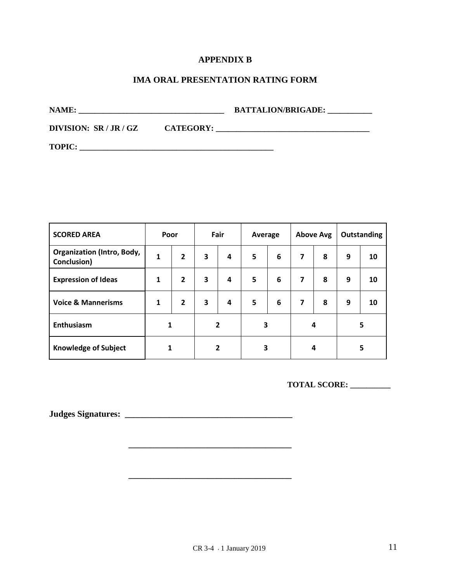#### **APPENDIX B**

#### **IMA ORAL PRESENTATION RATING FORM**

**NAME: \_\_\_\_\_\_\_\_\_\_\_\_\_\_\_\_\_\_\_\_\_\_\_\_\_\_\_\_\_\_\_\_\_\_\_\_ BATTALION/BRIGADE: \_\_\_\_\_\_\_\_\_\_\_**

**DIVISION: SR / JR / GZ CATEGORY: \_\_\_\_\_\_\_\_\_\_\_\_\_\_\_\_\_\_\_\_\_\_\_\_\_\_\_\_\_\_\_\_\_\_\_\_\_\_**

**TOPIC: \_\_\_\_\_\_\_\_\_\_\_\_\_\_\_\_\_\_\_\_\_\_\_\_\_\_\_\_\_\_\_\_\_\_\_\_\_\_\_\_\_\_\_\_\_\_\_\_**

| <b>SCORED AREA</b>                               |   | Fair<br>Poor<br>Average |                |        | <b>Above Avg</b> |   | Outstanding    |   |   |    |
|--------------------------------------------------|---|-------------------------|----------------|--------|------------------|---|----------------|---|---|----|
| <b>Organization (Intro, Body,</b><br>Conclusion) | 1 | $\overline{2}$          | 3              | 4      | 5                | 6 | 7              | 8 | 9 | 10 |
| <b>Expression of Ideas</b>                       | 1 | $\overline{2}$          | 3              | 4      | 5                | 6 | $\overline{7}$ | 8 | 9 | 10 |
| <b>Voice &amp; Mannerisms</b>                    | 1 | $\overline{2}$          | 3              | 4      | 5                | 6 | 7              | 8 | 9 | 10 |
| <b>Enthusiasm</b>                                | 1 |                         | $\overline{2}$ |        | 3                |   |                | 4 | 5 |    |
| <b>Knowledge of Subject</b>                      |   | 1                       |                | 2<br>3 |                  |   | 4              |   | 5 |    |

**\_\_\_\_\_\_\_\_\_\_\_\_\_\_\_\_\_\_\_\_\_\_\_\_\_\_\_\_\_\_\_\_\_\_\_\_\_**

**\_\_\_\_\_\_\_\_\_\_\_\_\_\_\_\_\_\_\_\_\_\_\_\_\_\_\_\_\_\_\_\_\_\_\_\_\_**

**TOTAL SCORE: \_\_\_\_\_\_\_\_\_\_** 

**Judges Signatures: \_\_\_\_\_\_\_\_\_\_\_\_\_\_\_\_\_\_\_\_\_\_\_\_\_\_\_\_\_\_\_\_\_\_\_\_\_\_**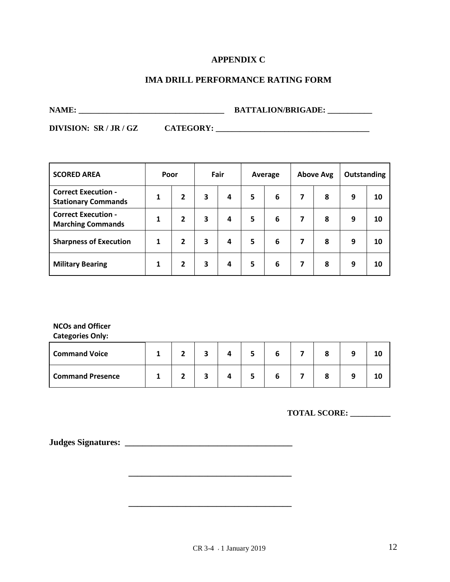#### **APPENDIX C**

#### **IMA DRILL PERFORMANCE RATING FORM**

**NAME: \_\_\_\_\_\_\_\_\_\_\_\_\_\_\_\_\_\_\_\_\_\_\_\_\_\_\_\_\_\_\_\_\_\_\_\_ BATTALION/BRIGADE: \_\_\_\_\_\_\_\_\_\_\_**

**DIVISION: SR / JR / GZ CATEGORY: \_\_\_\_\_\_\_\_\_\_\_\_\_\_\_\_\_\_\_\_\_\_\_\_\_\_\_\_\_\_\_\_\_\_\_\_\_\_**

| <b>SCORED AREA</b>                                       | Poor |                |   | Fair |   | <b>Above Avg</b><br>Average |   |   | <b>Outstanding</b> |    |
|----------------------------------------------------------|------|----------------|---|------|---|-----------------------------|---|---|--------------------|----|
| <b>Correct Execution -</b><br><b>Stationary Commands</b> | 1    | $\overline{2}$ | 3 | 4    | 5 | 6                           | 7 | 8 | 9                  | 10 |
| <b>Correct Execution -</b><br><b>Marching Commands</b>   | 1    | $\overline{2}$ | 3 | 4    | 5 | 6                           | 7 | 8 | 9                  | 10 |
| <b>Sharpness of Execution</b>                            | 1    | $\overline{2}$ | 3 | 4    | 5 | 6                           | 7 | 8 | 9                  | 10 |
| <b>Military Bearing</b>                                  | 1    | $\mathbf{2}$   | 3 | 4    | 5 | 6                           | 7 | 8 | 9                  | 10 |

**NCOs and Officer**

**Categories Only:**

| <b>Command Voice</b>    |  |  |  |  | 10 |
|-------------------------|--|--|--|--|----|
| <b>Command Presence</b> |  |  |  |  | 10 |

**\_\_\_\_\_\_\_\_\_\_\_\_\_\_\_\_\_\_\_\_\_\_\_\_\_\_\_\_\_\_\_\_\_\_\_\_\_**

**\_\_\_\_\_\_\_\_\_\_\_\_\_\_\_\_\_\_\_\_\_\_\_\_\_\_\_\_\_\_\_\_\_\_\_\_\_**

**TOTAL SCORE: \_\_\_\_\_\_\_\_\_\_** 

**Judges Signatures: \_\_\_\_\_\_\_\_\_\_\_\_\_\_\_\_\_\_\_\_\_\_\_\_\_\_\_\_\_\_\_\_\_\_\_\_\_\_**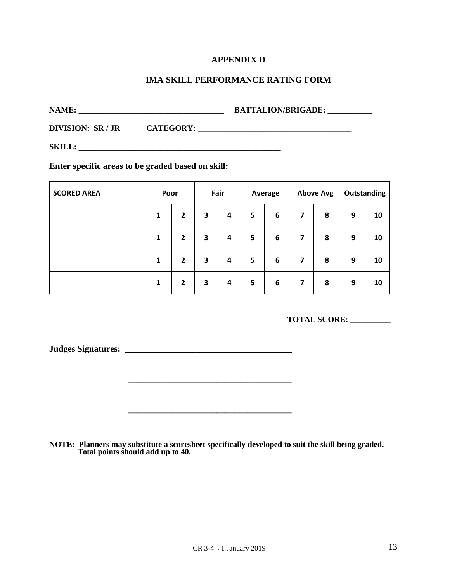#### **APPENDIX D**

#### **IMA SKILL PERFORMANCE RATING FORM**

**NAME: \_\_\_\_\_\_\_\_\_\_\_\_\_\_\_\_\_\_\_\_\_\_\_\_\_\_\_\_\_\_\_\_\_\_\_\_ BATTALION/BRIGADE: \_\_\_\_\_\_\_\_\_\_\_**

**DIVISION: SR / JR CATEGORY: \_\_\_\_\_\_\_\_\_\_\_\_\_\_\_\_\_\_\_\_\_\_\_\_\_\_\_\_\_\_\_\_\_\_\_\_\_\_**

**SKILL: \_\_\_\_\_\_\_\_\_\_\_\_\_\_\_\_\_\_\_\_\_\_\_\_\_\_\_\_\_\_\_\_\_\_\_\_\_\_\_\_\_\_\_\_\_\_\_\_\_\_**

**Enter specific areas to be graded based on skill:**

| <b>SCORED AREA</b> | Poor |                | Fair |   | Average |   |   | <b>Above Avg</b> | Outstanding |    |
|--------------------|------|----------------|------|---|---------|---|---|------------------|-------------|----|
|                    | 1    | $\overline{2}$ | 3    | 4 | 5       | 6 | 7 | 8                | 9           | 10 |
|                    | 1    | $\overline{2}$ | 3    | 4 | 5       | 6 | 7 | 8                | 9           | 10 |
|                    | 1    | $\overline{2}$ | 3    | 4 | 5       | 6 | 7 | 8                | 9           | 10 |
|                    | 1    | $\mathbf{2}$   | 3    | 4 | 5       | 6 | 7 | 8                | 9           | 10 |

**TOTAL SCORE: \_\_\_\_\_\_\_\_\_\_** 

**Judges Signatures: \_\_\_\_\_\_\_\_\_\_\_\_\_\_\_\_\_\_\_\_\_\_\_\_\_\_\_\_\_\_\_\_\_\_\_\_\_\_**

**NOTE: Planners may substitute a scoresheet specifically developed to suit the skill being graded. Total points should add up to 40.**

**\_\_\_\_\_\_\_\_\_\_\_\_\_\_\_\_\_\_\_\_\_\_\_\_\_\_\_\_\_\_\_\_\_\_\_\_\_**

**\_\_\_\_\_\_\_\_\_\_\_\_\_\_\_\_\_\_\_\_\_\_\_\_\_\_\_\_\_\_\_\_\_\_\_\_\_**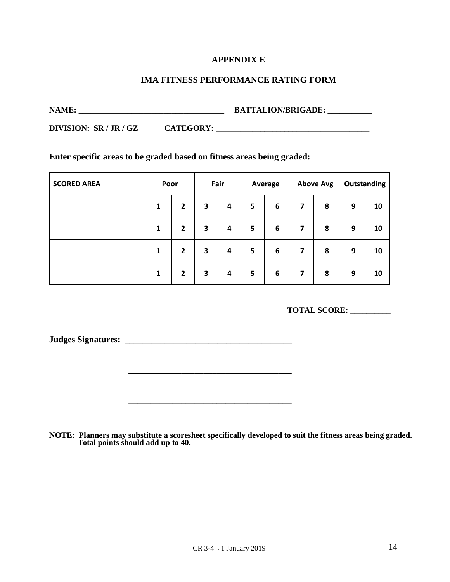#### **APPENDIX E**

#### **IMA FITNESS PERFORMANCE RATING FORM**

**NAME: \_\_\_\_\_\_\_\_\_\_\_\_\_\_\_\_\_\_\_\_\_\_\_\_\_\_\_\_\_\_\_\_\_\_\_\_ BATTALION/BRIGADE: \_\_\_\_\_\_\_\_\_\_\_**

**DIVISION: SR / JR / GZ CATEGORY: \_\_\_\_\_\_\_\_\_\_\_\_\_\_\_\_\_\_\_\_\_\_\_\_\_\_\_\_\_\_\_\_\_\_\_\_\_\_**

#### **Enter specific areas to be graded based on fitness areas being graded:**

| <b>SCORED AREA</b> | Poor |                | Fair |   | Average |   |   | <b>Above Avg</b> | Outstanding |    |
|--------------------|------|----------------|------|---|---------|---|---|------------------|-------------|----|
|                    | 1    | $\overline{2}$ | 3    | 4 | 5       | 6 | 7 | 8                | 9           | 10 |
|                    | 1    | 2              | 3    | 4 | 5       | 6 | 7 | 8                | 9           | 10 |
|                    | 1    | 2              | 3    | 4 | 5       | 6 | 7 | 8                | 9           | 10 |
|                    | 1    | $\overline{2}$ | 3    | 4 | 5       | 6 | 7 | 8                | 9           | 10 |

**TOTAL SCORE: \_\_\_\_\_\_\_\_\_\_** 

**Judges Signatures: \_\_\_\_\_\_\_\_\_\_\_\_\_\_\_\_\_\_\_\_\_\_\_\_\_\_\_\_\_\_\_\_\_\_\_\_\_\_**

**NOTE: Planners may substitute a scoresheet specifically developed to suit the fitness areas being graded. Total points should add up to 40.**

**\_\_\_\_\_\_\_\_\_\_\_\_\_\_\_\_\_\_\_\_\_\_\_\_\_\_\_\_\_\_\_\_\_\_\_\_\_**

**\_\_\_\_\_\_\_\_\_\_\_\_\_\_\_\_\_\_\_\_\_\_\_\_\_\_\_\_\_\_\_\_\_\_\_\_\_**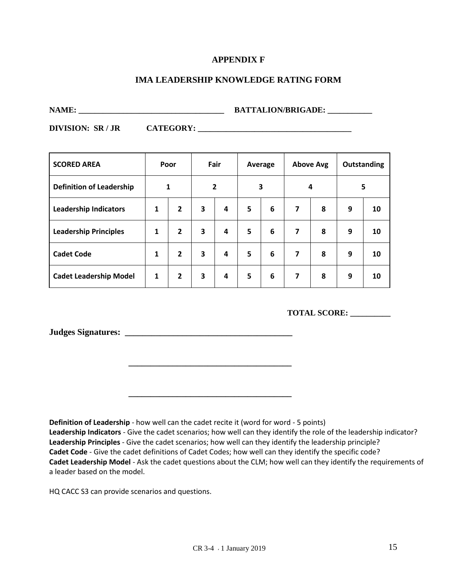#### **APPENDIX F**

#### **IMA LEADERSHIP KNOWLEDGE RATING FORM**

**NAME: \_\_\_\_\_\_\_\_\_\_\_\_\_\_\_\_\_\_\_\_\_\_\_\_\_\_\_\_\_\_\_\_\_\_\_\_ BATTALION/BRIGADE: \_\_\_\_\_\_\_\_\_\_\_**

**DIVISION: SR / JR CATEGORY: \_\_\_\_\_\_\_\_\_\_\_\_\_\_\_\_\_\_\_\_\_\_\_\_\_\_\_\_\_\_\_\_\_\_\_\_\_\_**

| <b>SCORED AREA</b>              | Poor         |                | Fair |   | Average |   |   | <b>Above Avg</b> | Outstanding |    |
|---------------------------------|--------------|----------------|------|---|---------|---|---|------------------|-------------|----|
| <b>Definition of Leadership</b> |              | 1              |      | 2 |         | 3 |   | 4                | 5           |    |
| <b>Leadership Indicators</b>    | $\mathbf{1}$ | $\overline{2}$ | 3    | 4 | 5       | 6 | 7 | 8                | 9           | 10 |
| <b>Leadership Principles</b>    | 1            | $\overline{2}$ | 3    | 4 | 5       | 6 | 7 | 8                | 9           | 10 |
| <b>Cadet Code</b>               | 1            | $\overline{2}$ | 3    | 4 | 5       | 6 | 7 | 8                | 9           | 10 |
| <b>Cadet Leadership Model</b>   | 1            | $\overline{2}$ | 3    | 4 | 5       | 6 | 7 | 8                | 9           | 10 |

**\_\_\_\_\_\_\_\_\_\_\_\_\_\_\_\_\_\_\_\_\_\_\_\_\_\_\_\_\_\_\_\_\_\_\_\_\_**

**\_\_\_\_\_\_\_\_\_\_\_\_\_\_\_\_\_\_\_\_\_\_\_\_\_\_\_\_\_\_\_\_\_\_\_\_\_**

**TOTAL SCORE: \_\_\_\_\_\_\_\_\_\_** 

**Judges Signatures: \_\_\_\_\_\_\_\_\_\_\_\_\_\_\_\_\_\_\_\_\_\_\_\_\_\_\_\_\_\_\_\_\_\_\_\_\_\_**

**Definition of Leadership** - how well can the cadet recite it (word for word - 5 points) **Leadership Indicators** - Give the cadet scenarios; how well can they identify the role of the leadership indicator? **Leadership Principles** - Give the cadet scenarios; how well can they identify the leadership principle? **Cadet Code** - Give the cadet definitions of Cadet Codes; how well can they identify the specific code? **Cadet Leadership Model** - Ask the cadet questions about the CLM; how well can they identify the requirements of a leader based on the model.

HQ CACC S3 can provide scenarios and questions.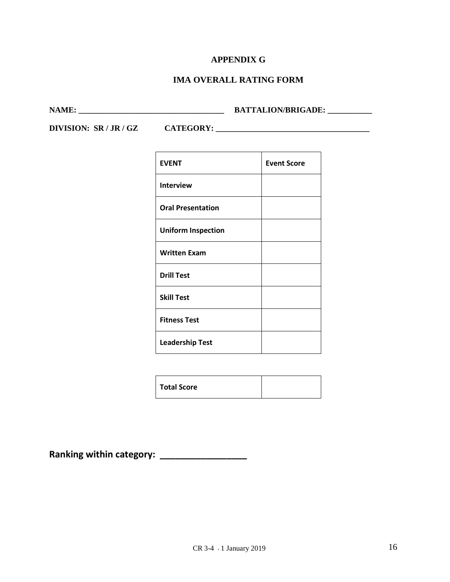#### **APPENDIX G**

### **IMA OVERALL RATING FORM**

**NAME: \_\_\_\_\_\_\_\_\_\_\_\_\_\_\_\_\_\_\_\_\_\_\_\_\_\_\_\_\_\_\_\_\_\_\_\_ BATTALION/BRIGADE: \_\_\_\_\_\_\_\_\_\_\_**

**DIVISION: SR / JR / GZ CATEGORY: \_\_\_\_\_\_\_\_\_\_\_\_\_\_\_\_\_\_\_\_\_\_\_\_\_\_\_\_\_\_\_\_\_\_\_\_\_\_**

| <b>EVENT</b>              | <b>Event Score</b> |
|---------------------------|--------------------|
| <b>Interview</b>          |                    |
| <b>Oral Presentation</b>  |                    |
| <b>Uniform Inspection</b> |                    |
| <b>Written Exam</b>       |                    |
| <b>Drill Test</b>         |                    |
| <b>Skill Test</b>         |                    |
| <b>Fitness Test</b>       |                    |
| <b>Leadership Test</b>    |                    |

**Ranking within category: \_\_\_\_\_\_\_\_\_\_\_\_\_\_\_\_\_**